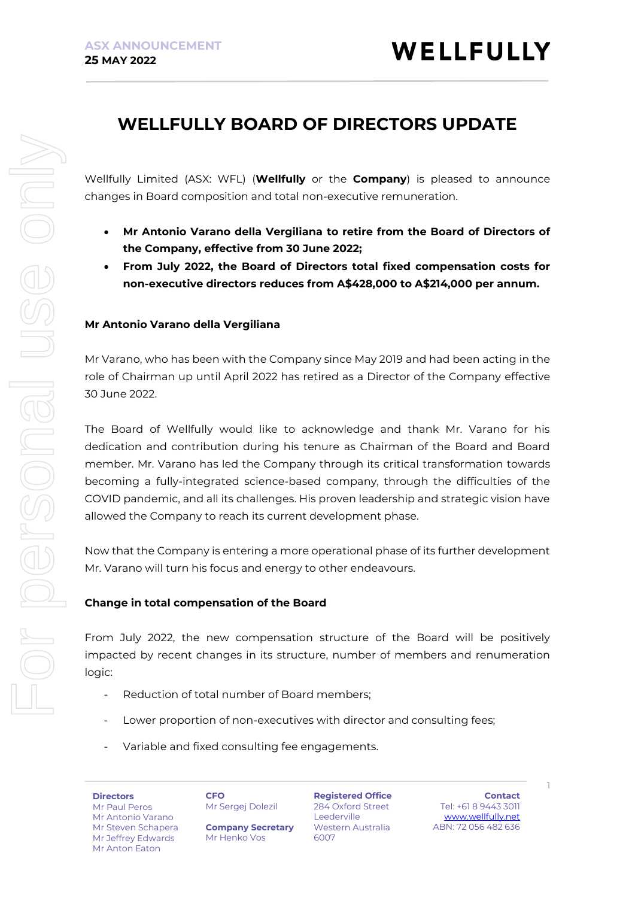## **WELLFULLY BOARD OF DIRECTORS UPDATE**

Wellfully Limited (ASX: WFL) (**Wellfully** or the **Company**) is pleased to announce changes in Board composition and total non-executive remuneration.

- **Mr Antonio Varano della Vergiliana to retire from the Board of Directors of the Company, effective from 30 June 2022;**
- **From July 2022, the Board of Directors total fixed compensation costs for non-executive directors reduces from A\$428,000 to A\$214,000 per annum.**

### **Mr Antonio Varano della Vergiliana**

Mr Varano, who has been with the Company since May 2019 and had been acting in the role of Chairman up until April 2022 has retired as a Director of the Company effective 30 June 2022.

The Board of Wellfully would like to acknowledge and thank Mr. Varano for his dedication and contribution during his tenure as Chairman of the Board and Board member. Mr. Varano has led the Company through its critical transformation towards becoming a fully-integrated science-based company, through the difficulties of the COVID pandemic, and all its challenges. His proven leadership and strategic vision have allowed the Company to reach its current development phase.

Now that the Company is entering a more operational phase of its further development Mr. Varano will turn his focus and energy to other endeavours.

### **Change in total compensation of the Board**

From July 2022, the new compensation structure of the Board will be positively impacted by recent changes in its structure, number of members and renumeration logic:

- Reduction of total number of Board members;
- Lower proportion of non-executives with director and consulting fees;
- Variable and fixed consulting fee engagements.

**Directors** Mr Paul Peros Mr Antonio Varano Mr Steven Schapera Mr Jeffrey Edwards Mr Anton Eaton

**CFO** Mr Sergej Dolezil

**Company Secretary** Mr Henko Vos

**Registered Office** 284 Oxford Street Leederville Western Australia 6007

**Contact** Tel: +61 8 9443 3011 [www.wellfully.net](http://www.wellfully.net/) ABN: 72 056 482 636

1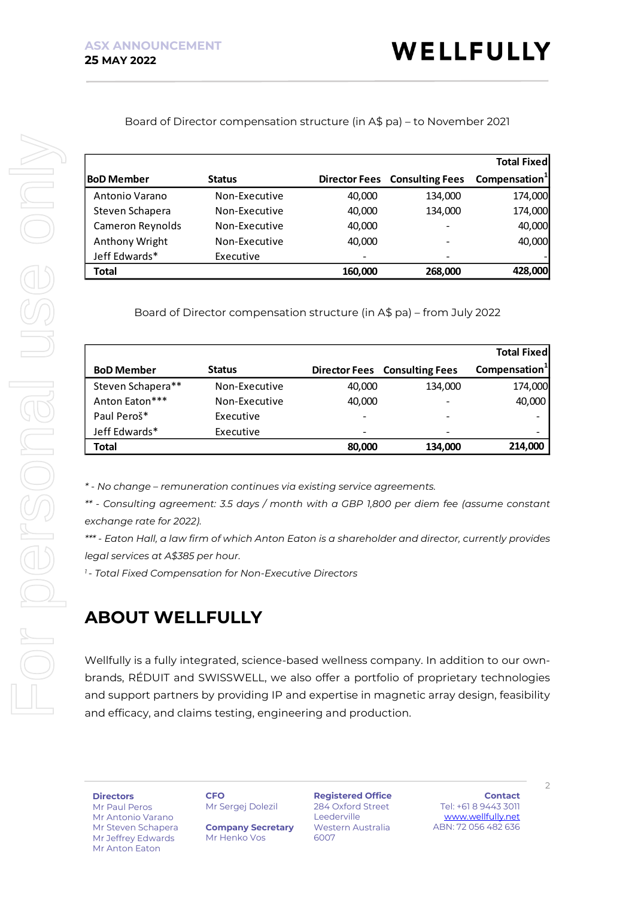Board of Director compensation structure (in A\$ pa) – to November 2021

|                                                                                                                                                                                                                                              |                                                                                            |                      |                                      | <b>Total Fixed</b>        |
|----------------------------------------------------------------------------------------------------------------------------------------------------------------------------------------------------------------------------------------------|--------------------------------------------------------------------------------------------|----------------------|--------------------------------------|---------------------------|
| <b>BoD Member</b>                                                                                                                                                                                                                            | <b>Status</b>                                                                              | <b>Director Fees</b> | <b>Consulting Fees</b>               | Compensation <sup>1</sup> |
| Antonio Varano                                                                                                                                                                                                                               | Non-Executive                                                                              | 40,000               | 134,000                              | 174,000                   |
| Steven Schapera                                                                                                                                                                                                                              | Non-Executive                                                                              | 40,000               | 134,000                              | 174,000                   |
| Cameron Reynolds                                                                                                                                                                                                                             | Non-Executive                                                                              | 40,000               |                                      | 40,000                    |
| Anthony Wright                                                                                                                                                                                                                               | Non-Executive                                                                              | 40,000               |                                      | 40,000                    |
| Jeff Edwards*                                                                                                                                                                                                                                | Executive                                                                                  |                      |                                      |                           |
| <b>Total</b>                                                                                                                                                                                                                                 |                                                                                            | 160,000              | 268,000                              | 428,000                   |
|                                                                                                                                                                                                                                              | Board of Director compensation structure (in A\$ pa) – from July 2022                      |                      |                                      |                           |
|                                                                                                                                                                                                                                              |                                                                                            |                      |                                      | <b>Total Fixed</b>        |
| <b>BoD Member</b>                                                                                                                                                                                                                            | <b>Status</b>                                                                              |                      | <b>Director Fees Consulting Fees</b> | Compensation <sup>1</sup> |
| Steven Schapera**                                                                                                                                                                                                                            | Non-Executive                                                                              | 40,000               | 134,000                              | 174,000                   |
| Anton Eaton***                                                                                                                                                                                                                               | Non-Executive                                                                              | 40,000               |                                      | 40,000                    |
| Paul Peroš*                                                                                                                                                                                                                                  | Executive                                                                                  |                      |                                      |                           |
| Jeff Edwards*                                                                                                                                                                                                                                | Executive                                                                                  |                      |                                      |                           |
| <b>Total</b>                                                                                                                                                                                                                                 |                                                                                            | 80,000               | 134,000                              | 214,000                   |
| * - No change - remuneration continues via existing service agreements.                                                                                                                                                                      | ** - Consulting agreement: 3.5 days / month with a GBP 1,800 per diem fee (assume constant |                      |                                      |                           |
| exchange rate for 2022).<br>*** - Eaton Hall, a law firm of which Anton Eaton is a shareholder and director, currently provides<br>legal services at A\$385 per hour.<br><sup>1</sup> - Total Fixed Compensation for Non-Executive Directors |                                                                                            |                      |                                      |                           |

|                   |               |                          |                                      | <b>Total Fixed</b>        |
|-------------------|---------------|--------------------------|--------------------------------------|---------------------------|
| <b>BoD Member</b> | <b>Status</b> |                          | <b>Director Fees</b> Consulting Fees | Compensation <sup>1</sup> |
| Steven Schapera** | Non-Executive | 40,000                   | 134,000                              | 174,000                   |
| Anton Eaton***    | Non-Executive | 40,000                   |                                      | 40,000                    |
| Paul Peroš*       | Executive     |                          |                                      |                           |
| Jeff Edwards*     | Executive     | $\overline{\phantom{0}}$ |                                      |                           |
| Total             |               | 80,000                   | 134,000                              | 214,000                   |

# **ABOUT WELLFULLY**

Wellfully is a fully integrated, science-based wellness company. In addition to our ownbrands, RÉDUIT and SWISSWELL, we also offer a portfolio of proprietary technologies and support partners by providing IP and expertise in magnetic array design, feasibility and efficacy, and claims testing, engineering and production.

**Directors**

Mr Anton Eaton

Mr Paul Peros Mr Antonio Varano Mr Steven Schapera Mr Jeffrey Edwards

**CFO** Mr Sergej Dolezil

**Company Secretary** Mr Henko Vos

**Registered Office** 284 Oxford Street Leederville Western Australia 6007

**Contact** Tel: +61 8 9443 3011 [www.wellfully.net](http://www.wellfully.net/) ABN: 72 056 482 636

 $\overline{\phantom{0}}$